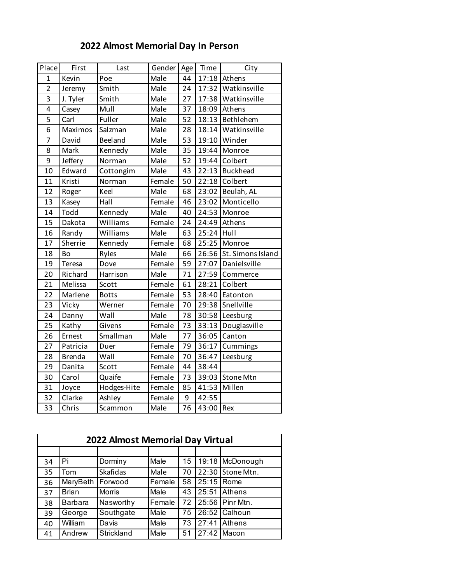## **2022 Almost Memorial Day In Person**

| Place          | First         | Last         | Gender | Age | Time  | City              |
|----------------|---------------|--------------|--------|-----|-------|-------------------|
| $\mathbf{1}$   | Kevin         | Poe          | Male   | 44  | 17:18 | Athens            |
| $\overline{2}$ | Jeremy        | Smith        | Male   | 24  | 17:32 | Watkinsville      |
| 3              | J. Tyler      | Smith        | Male   | 27  | 17:38 | Watkinsville      |
| 4              | Casey         | Mull         | Male   | 37  | 18:09 | Athens            |
| 5              | Carl          | Fuller       | Male   | 52  | 18:13 | Bethlehem         |
| 6              | Maximos       | Salzman      | Male   | 28  | 18:14 | Watkinsville      |
| $\overline{7}$ | David         | Beeland      | Male   | 53  | 19:10 | Winder            |
| 8              | Mark          | Kennedy      | Male   | 35  | 19:44 | Monroe            |
| 9              | Jeffery       | Norman       | Male   | 52  | 19:44 | Colbert           |
| 10             | Edward        | Cottongim    | Male   | 43  | 22:13 | <b>Buckhead</b>   |
| 11             | Kristi        | Norman       | Female | 50  | 22:18 | Colbert           |
| 12             | Roger         | Keel         | Male   | 68  | 23:02 | Beulah, AL        |
| 13             | Kasey         | Hall         | Female | 46  | 23:02 | Monticello        |
| 14             | Todd          | Kennedy      | Male   | 40  | 24:53 | Monroe            |
| 15             | Dakota        | Williams     | Female | 24  | 24:49 | Athens            |
| 16             | Randy         | Williams     | Male   | 63  | 25:24 | Hull              |
| 17             | Sherrie       | Kennedy      | Female | 68  | 25:25 | Monroe            |
| 18             | Bo            | Ryles        | Male   | 66  | 26:56 | St. Simons Island |
| 19             | Teresa        | Dove         | Female | 59  | 27:07 | Danielsville      |
| 20             | Richard       | Harrison     | Male   | 71  | 27:59 | Commerce          |
| 21             | Melissa       | Scott        | Female | 61  | 28:21 | Colbert           |
| 22             | Marlene       | <b>Botts</b> | Female | 53  | 28:40 | Eatonton          |
| 23             | Vicky         | Werner       | Female | 70  | 29:38 | Snellville        |
| 24             | Danny         | Wall         | Male   | 78  | 30:58 | Leesburg          |
| 25             | Kathy         | Givens       | Female | 73  | 33:13 | Douglasville      |
| 26             | Ernest        | Smallman     | Male   | 77  | 36:05 | Canton            |
| 27             | Patricia      | Duer         | Female | 79  | 36:17 | Cummings          |
| 28             | <b>Brenda</b> | Wall         | Female | 70  | 36:47 | Leesburg          |
| 29             | Danita        | Scott        | Female | 44  | 38:44 |                   |
| 30             | Carol         | Quaife       | Female | 73  | 39:03 | Stone Mtn         |
| 31             | Joyce         | Hodges-Hite  | Female | 85  | 41:53 | Millen            |
| 32             | Clarke        | Ashley       | Female | 9   | 42:55 |                   |
| 33             | Chris         | Scammon      | Male   | 76  | 43:00 | Rex               |
|                |               |              |        |     |       |                   |

| <b>2022 Almost Memorial Day Virtual</b> |              |               |        |    |       |                  |
|-----------------------------------------|--------------|---------------|--------|----|-------|------------------|
|                                         |              |               |        |    |       |                  |
| 34                                      | Pi           | Dorminy       | Male   | 15 | 19:18 | McDonough        |
| 35                                      | Tom          | Skafidas      | Male   | 70 |       | 22:30 Stone Mtn. |
| 36                                      | MaryBeth     | Forwood       | Female | 58 | 25:15 | Rome             |
| 37                                      | <b>Brian</b> | <b>Morris</b> | Male   | 43 | 25:51 | Athens           |
| 38                                      | Barbara      | Nasworthy     | Female | 72 |       | 25:56 Pinr Mtn.  |
| 39                                      | George       | Southgate     | Male   | 75 |       | 26:52 Calhoun    |
| 40                                      | William      | Davis         | Male   | 73 | 27:41 | Athens           |
| 41                                      | Andrew       | Strickland    | Male   | 51 |       | 27:42 Macon      |